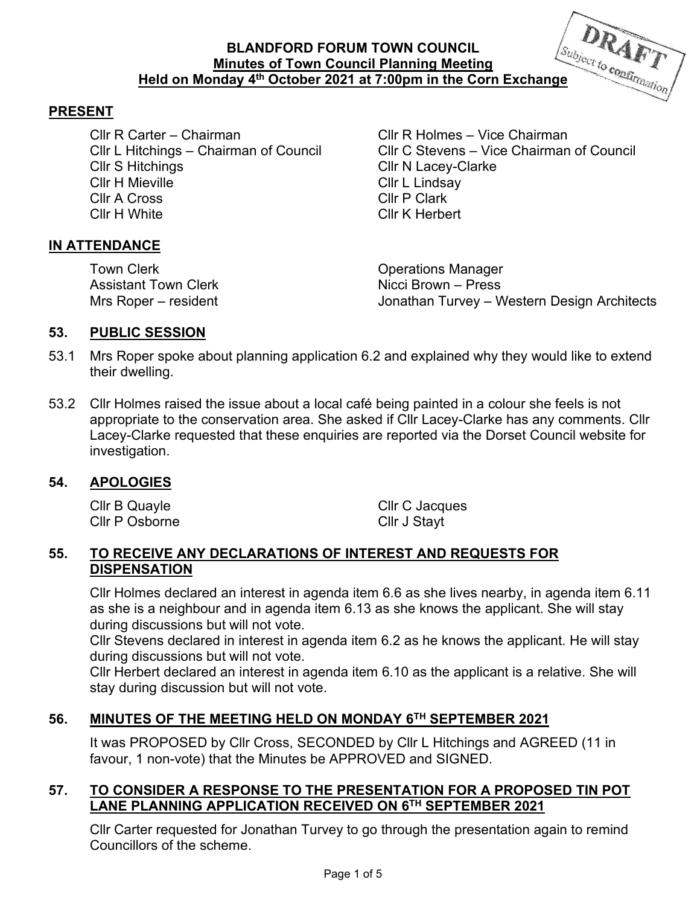# **BLANDFORD FORUM TOWN COUNCIL Minutes of Town Council Planning Meeting Held on Monday 4<sup>th</sup> October 2021 at 7:00pm in the Corn Exchange <b>Configuration**



#### **PRESENT**

Cllr R Carter – Chairman Cllr R Holmes – Vice Chairman Cllr S Hitchings Cllr N Lacey-Clarke Cllr H Mieville **Cllr L** Lindsay Cllr A Cross Cllr P Clark Cllr H White Cllr K Herbert

Cllr L Hitchings – Chairman of Council Cllr C Stevens – Vice Chairman of Council

#### **IN ATTENDANCE**

Town Clerk Operations Manager **Assistant Town Clerk** 

Mrs Roper – resident Turvey – Western Design Architects

#### **53. PUBLIC SESSION**

- 53.1 Mrs Roper spoke about planning application 6.2 and explained why they would like to extend their dwelling.
- 53.2 Cllr Holmes raised the issue about a local café being painted in a colour she feels is not appropriate to the conservation area. She asked if Cllr Lacey-Clarke has any comments. Cllr Lacey-Clarke requested that these enquiries are reported via the Dorset Council website for investigation.

#### **54. APOLOGIES**

Cllr B Quayle Cllr C Jacques Cllr P Osborne Cllr J Stayt

#### **55. TO RECEIVE ANY DECLARATIONS OF INTEREST AND REQUESTS FOR DISPENSATION**

Cllr Holmes declared an interest in agenda item 6.6 as she lives nearby, in agenda item 6.11 as she is a neighbour and in agenda item 6.13 as she knows the applicant. She will stay during discussions but will not vote.

Cllr Stevens declared in interest in agenda item 6.2 as he knows the applicant. He will stay during discussions but will not vote.

Cllr Herbert declared an interest in agenda item 6.10 as the applicant is a relative. She will stay during discussion but will not vote.

## **56. MINUTES OF THE MEETING HELD ON MONDAY 6TH SEPTEMBER 2021**

It was PROPOSED by Cllr Cross, SECONDED by Cllr L Hitchings and AGREED (11 in favour, 1 non-vote) that the Minutes be APPROVED and SIGNED.

#### **57. TO CONSIDER A RESPONSE TO THE PRESENTATION FOR A PROPOSED TIN POT LANE PLANNING APPLICATION RECEIVED ON 6TH SEPTEMBER 2021**

Cllr Carter requested for Jonathan Turvey to go through the presentation again to remind Councillors of the scheme.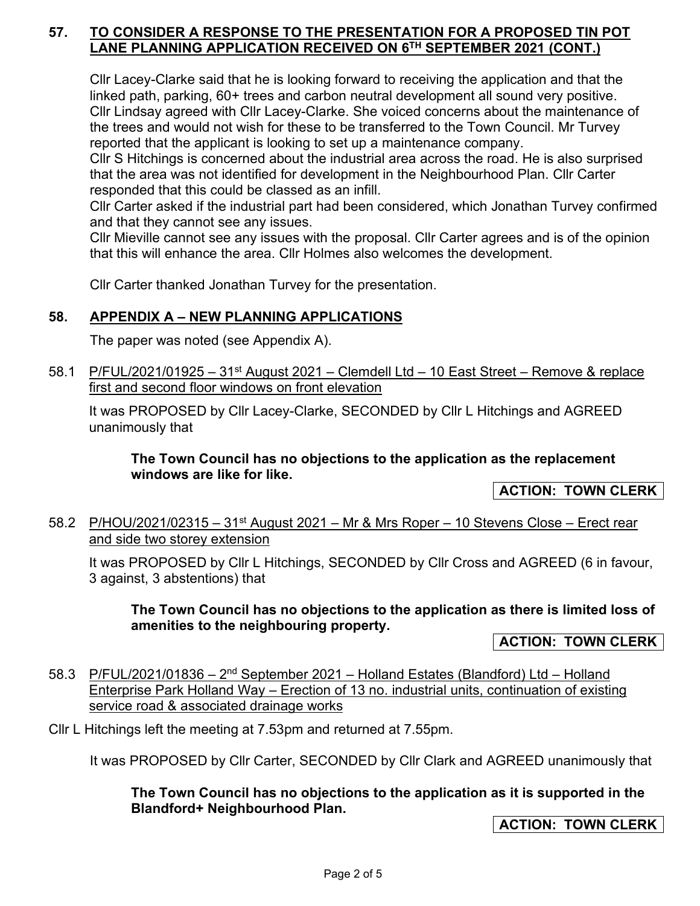### **57. TO CONSIDER A RESPONSE TO THE PRESENTATION FOR A PROPOSED TIN POT LANE PLANNING APPLICATION RECEIVED ON 6TH SEPTEMBER 2021 (CONT.)**

Cllr Lacey-Clarke said that he is looking forward to receiving the application and that the linked path, parking, 60+ trees and carbon neutral development all sound very positive. Cllr Lindsay agreed with Cllr Lacey-Clarke. She voiced concerns about the maintenance of the trees and would not wish for these to be transferred to the Town Council. Mr Turvey reported that the applicant is looking to set up a maintenance company.

Cllr S Hitchings is concerned about the industrial area across the road. He is also surprised that the area was not identified for development in the Neighbourhood Plan. Cllr Carter responded that this could be classed as an infill.

Cllr Carter asked if the industrial part had been considered, which Jonathan Turvey confirmed and that they cannot see any issues.

Cllr Mieville cannot see any issues with the proposal. Cllr Carter agrees and is of the opinion that this will enhance the area. Cllr Holmes also welcomes the development.

Cllr Carter thanked Jonathan Turvey for the presentation.

## **58. APPENDIX A – NEW PLANNING APPLICATIONS**

The paper was noted (see Appendix A).

58.1 P/FUL/2021/01925 - 31<sup>st</sup> August 2021 - Clemdell Ltd - 10 East Street - Remove & replace first and second floor windows on front elevation

It was PROPOSED by Cllr Lacey-Clarke, SECONDED by Cllr L Hitchings and AGREED unanimously that

**The Town Council has no objections to the application as the replacement windows are like for like.** 

**ACTION: TOWN CLERK** 

58.2 P/HOU/2021/02315 – 31<sup>st</sup> August 2021 – Mr & Mrs Roper – 10 Stevens Close – Erect rear and side two storey extension

It was PROPOSED by Cllr L Hitchings, SECONDED by Cllr Cross and AGREED (6 in favour, 3 against, 3 abstentions) that

**The Town Council has no objections to the application as there is limited loss of amenities to the neighbouring property.** 

**ACTION: TOWN CLERK** 

58.3 P/FUL/2021/01836 –  $2<sup>nd</sup>$  September 2021 – Holland Estates (Blandford) Ltd – Holland Enterprise Park Holland Way – Erection of 13 no. industrial units, continuation of existing service road & associated drainage works

Cllr L Hitchings left the meeting at 7.53pm and returned at 7.55pm.

It was PROPOSED by Cllr Carter, SECONDED by Cllr Clark and AGREED unanimously that

**The Town Council has no objections to the application as it is supported in the Blandford+ Neighbourhood Plan.** 

**ACTION: TOWN CLERK**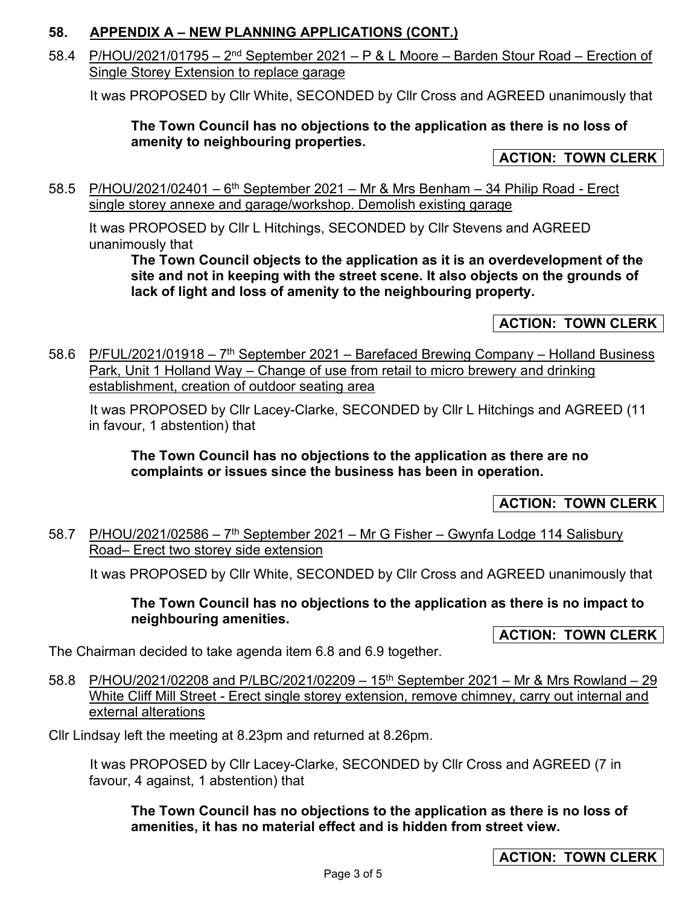## **58. APPENDIX A – NEW PLANNING APPLICATIONS (CONT.)**

58.4 P/HOU/2021/01795 –  $2<sup>nd</sup>$  September 2021 – P & L Moore – Barden Stour Road – Erection of Single Storey Extension to replace garage

It was PROPOSED by Cllr White, SECONDED by Cllr Cross and AGREED unanimously that

## **The Town Council has no objections to the application as there is no loss of amenity to neighbouring properties.**

## **ACTION: TOWN CLERK**

58.5 P/HOU/2021/02401 –  $6<sup>th</sup>$  September 2021 – Mr & Mrs Benham – 34 Philip Road - Erect single storey annexe and garage/workshop. Demolish existing garage

It was PROPOSED by Cllr L Hitchings, SECONDED by Cllr Stevens and AGREED unanimously that

**The Town Council objects to the application as it is an overdevelopment of the site and not in keeping with the street scene. It also objects on the grounds of lack of light and loss of amenity to the neighbouring property.** 

**ACTION: TOWN CLERK** 

58.6 P/FUL/2021/01918 – 7<sup>th</sup> September 2021 – Barefaced Brewing Company – Holland Business Park, Unit 1 Holland Way – Change of use from retail to micro brewery and drinking establishment, creation of outdoor seating area

 It was PROPOSED by Cllr Lacey-Clarke, SECONDED by Cllr L Hitchings and AGREED (11 in favour, 1 abstention) that

**The Town Council has no objections to the application as there are no complaints or issues since the business has been in operation.** 

## **ACTION: TOWN CLERK**

58.7 P/HOU/2021/02586 - 7<sup>th</sup> September 2021 - Mr G Fisher - Gwynfa Lodge 114 Salisbury Road– Erect two storey side extension

It was PROPOSED by Cllr White, SECONDED by Cllr Cross and AGREED unanimously that

**The Town Council has no objections to the application as there is no impact to neighbouring amenities.** 

**ACTION: TOWN CLERK** 

The Chairman decided to take agenda item 6.8 and 6.9 together.

58.8 P/HOU/2021/02208 and P/LBC/2021/02209 - 15<sup>th</sup> September 2021 - Mr & Mrs Rowland - 29 White Cliff Mill Street - Erect single storey extension, remove chimney, carry out internal and external alterations

Cllr Lindsay left the meeting at 8.23pm and returned at 8.26pm.

 It was PROPOSED by Cllr Lacey-Clarke, SECONDED by Cllr Cross and AGREED (7 in favour, 4 against, 1 abstention) that

**The Town Council has no objections to the application as there is no loss of amenities, it has no material effect and is hidden from street view.**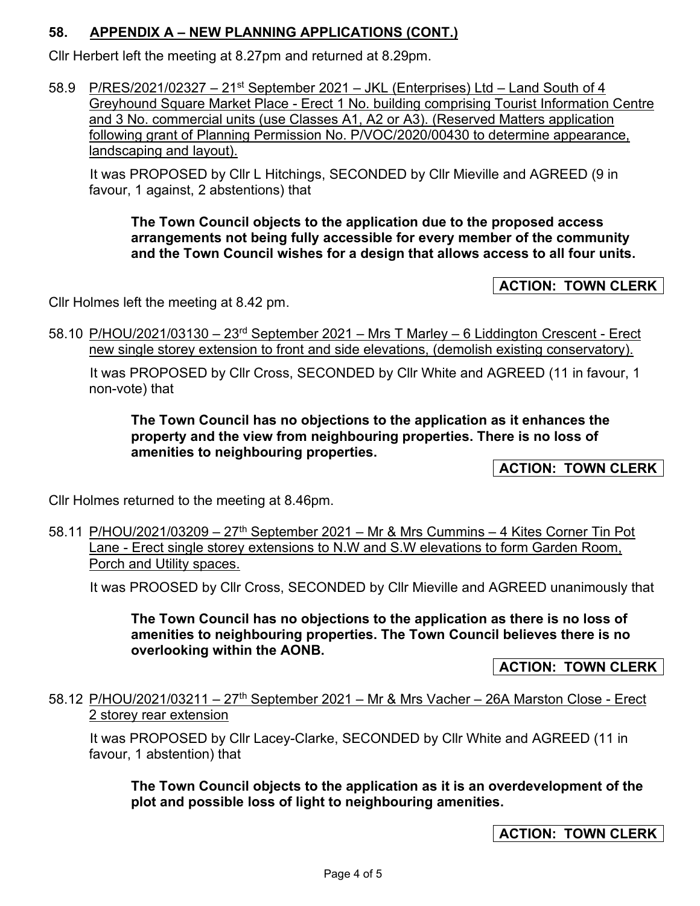# **58. APPENDIX A – NEW PLANNING APPLICATIONS (CONT.)**

Cllr Herbert left the meeting at 8.27pm and returned at 8.29pm.

58.9 P/RES/2021/02327 - 21<sup>st</sup> September 2021 - JKL (Enterprises) Ltd - Land South of 4 Greyhound Square Market Place - Erect 1 No. building comprising Tourist Information Centre and 3 No. commercial units (use Classes A1, A2 or A3). (Reserved Matters application following grant of Planning Permission No. P/VOC/2020/00430 to determine appearance, landscaping and layout).

 It was PROPOSED by Cllr L Hitchings, SECONDED by Cllr Mieville and AGREED (9 in favour, 1 against, 2 abstentions) that

**The Town Council objects to the application due to the proposed access arrangements not being fully accessible for every member of the community and the Town Council wishes for a design that allows access to all four units.** 

**ACTION: TOWN CLERK** 

Cllr Holmes left the meeting at 8.42 pm.

58.10 P/HOU/2021/03130 – 23rd September 2021 – Mrs T Marley – 6 Liddington Crescent - Erect new single storey extension to front and side elevations, (demolish existing conservatory).

 It was PROPOSED by Cllr Cross, SECONDED by Cllr White and AGREED (11 in favour, 1 non-vote) that

**The Town Council has no objections to the application as it enhances the property and the view from neighbouring properties. There is no loss of amenities to neighbouring properties.** 

**ACTION: TOWN CLERK** 

Cllr Holmes returned to the meeting at 8.46pm.

58.11 P/HOU/2021/03209 – 27<sup>th</sup> September 2021 – Mr & Mrs Cummins – 4 Kites Corner Tin Pot Lane - Erect single storey extensions to N.W and S.W elevations to form Garden Room, Porch and Utility spaces.

It was PROOSED by Cllr Cross, SECONDED by Cllr Mieville and AGREED unanimously that

**The Town Council has no objections to the application as there is no loss of amenities to neighbouring properties. The Town Council believes there is no overlooking within the AONB.** 

**ACTION: TOWN CLERK** 

58.12 P/HOU/2021/03211 – 27<sup>th</sup> September 2021 – Mr & Mrs Vacher – 26A Marston Close - Erect 2 storey rear extension

 It was PROPOSED by Cllr Lacey-Clarke, SECONDED by Cllr White and AGREED (11 in favour, 1 abstention) that

**The Town Council objects to the application as it is an overdevelopment of the plot and possible loss of light to neighbouring amenities.** 

**ACTION: TOWN CLERK**